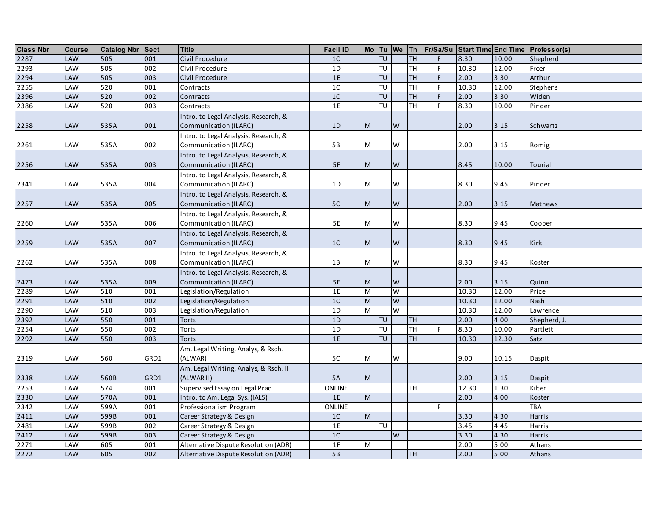| <b>Class Nbr</b> | <b>Course</b> | <b>Catalog Nbr Sect</b> |      | <b>Title</b>                          | <b>Facil ID</b> |                                                                                                            |           |           |           |    |       |       | Mo   Tu   We   Th   Fr/Sa/Su   Start Time   End Time   Professor(s) |
|------------------|---------------|-------------------------|------|---------------------------------------|-----------------|------------------------------------------------------------------------------------------------------------|-----------|-----------|-----------|----|-------|-------|---------------------------------------------------------------------|
| 2287             | <b>LAW</b>    | 505                     | 001  | Civil Procedure                       | 1 <sup>C</sup>  |                                                                                                            | TU        |           | HL        | F  | 8.30  | 10.00 | Shepherd                                                            |
| 2293             | LAW           | 505                     | 002  | Civil Procedure                       | 1D              |                                                                                                            | TU        |           | TH        | F  | 10.30 | 12.00 | Freer                                                               |
| 2294             | LAW           | 505                     | 003  | Civil Procedure                       | $1E$            |                                                                                                            | TU        |           | TH        | F  | 2.00  | 3.30  | Arthur                                                              |
| 2255             | LAW           | 520                     | 001  | Contracts                             | $1C$            |                                                                                                            | TU        |           | TH        | F  | 10.30 | 12.00 | Stephens                                                            |
| 2396             | LAW           | 520                     | 002  | Contracts                             | $1C$            |                                                                                                            | TU        |           | <b>TH</b> | F  | 2.00  | 3.30  | Widen                                                               |
| 2386             | LAW           | 520                     | 003  | Contracts                             | 1E              |                                                                                                            | TU        |           | <b>TH</b> | F  | 8.30  | 10.00 | Pinder                                                              |
|                  |               |                         |      | Intro. to Legal Analysis, Research, & |                 |                                                                                                            |           |           |           |    |       |       |                                                                     |
| 2258             | LAW           | 535A                    | 001  | Communication (ILARC)                 | 1D              | $\mathsf{M}% _{H}=\mathsf{M}_{H}$                                                                          |           | W         |           |    | 2.00  | 3.15  | Schwartz                                                            |
|                  |               |                         |      | Intro. to Legal Analysis, Research, & |                 |                                                                                                            |           |           |           |    |       |       |                                                                     |
| 2261             | LAW           | 535A                    | 002  | Communication (ILARC)                 | $5\,\mathrm{B}$ | M                                                                                                          |           | W         |           |    | 2.00  | 3.15  | Romig                                                               |
|                  |               |                         |      | Intro. to Legal Analysis, Research, & |                 |                                                                                                            |           |           |           |    |       |       |                                                                     |
| 2256             | LAW           | 535A                    | 003  | Communication (ILARC)                 | $5F$            | $\mathsf{M}% _{T}=\mathsf{M}_{T}\!\left( a,b\right) ,\ \mathsf{M}_{T}=\mathsf{M}_{T}\!\left( a,b\right) ,$ |           | ${\sf W}$ |           |    | 8.45  | 10.00 | <b>Tourial</b>                                                      |
|                  |               |                         |      | Intro. to Legal Analysis, Research, & |                 |                                                                                                            |           |           |           |    |       |       |                                                                     |
| 2341             | LAW           | 535A                    | 004  | Communication (ILARC)                 | 1D              | M                                                                                                          |           | W         |           |    | 8.30  | 9.45  | Pinder                                                              |
|                  |               |                         |      | Intro. to Legal Analysis, Research, & |                 |                                                                                                            |           |           |           |    |       |       |                                                                     |
| 2257             | LAW           | 535A                    | 005  | Communication (ILARC)                 | $5C$            | M                                                                                                          |           | W         |           |    | 2.00  | 3.15  | Mathews                                                             |
|                  |               |                         |      | Intro. to Legal Analysis, Research, & |                 |                                                                                                            |           |           |           |    |       |       |                                                                     |
| 2260             | LAW           | 535A                    | 006  | Communication (ILARC)                 | 5E              | ${\sf M}$                                                                                                  |           | W         |           |    | 8.30  | 9.45  | Cooper                                                              |
|                  |               |                         |      | Intro. to Legal Analysis, Research, & |                 |                                                                                                            |           |           |           |    |       |       |                                                                     |
| 2259             | LAW           | 535A                    | 007  | Communication (ILARC)                 | $1C$            | M                                                                                                          |           | W         |           |    | 8.30  | 9.45  | <b>Kirk</b>                                                         |
|                  |               |                         |      | Intro. to Legal Analysis, Research, & |                 |                                                                                                            |           |           |           |    |       |       |                                                                     |
| 2262             | LAW           | 535A                    | 008  | Communication (ILARC)                 | $1B$            | M                                                                                                          |           | W         |           |    | 8.30  | 9.45  | Koster                                                              |
|                  |               |                         |      | Intro. to Legal Analysis, Research, & |                 |                                                                                                            |           |           |           |    |       |       |                                                                     |
| 2473             | LAW           | 535A                    | 009  | Communication (ILARC)                 | $5E$            | M                                                                                                          |           | W         |           |    | 2.00  | 3.15  | Quinn                                                               |
| 2289             | LAW           | 510                     | 001  | Legislation/Regulation                | 1E              | M                                                                                                          |           | W         |           |    | 10.30 | 12.00 | Price                                                               |
| 2291             | LAW           | 510                     | 002  | Legislation/Regulation                | $1C$            | $\overline{\mathsf{M}}$                                                                                    |           | W         |           |    | 10.30 | 12.00 | <b>Nash</b>                                                         |
| 2290             | LAW           | 510                     | 003  | Legislation/Regulation                | 1D              | $\overline{\mathsf{M}}$                                                                                    |           | W         |           |    | 10.30 | 12.00 | Lawrence                                                            |
| 2392             | LAW           | 550                     | 001  | <b>Torts</b>                          | 1D              |                                                                                                            | TU        |           | TH        |    | 2.00  | 4.00  | Shepherd, J.                                                        |
| 2254             | LAW           | 550                     | 002  | Torts                                 | 1D              |                                                                                                            | P         |           | TH        | F  | 8.30  | 10.00 | Partlett                                                            |
| 2292             | LAW           | 550                     | 003  | <b>Torts</b>                          | 1E              |                                                                                                            | TU        |           | <b>TH</b> |    | 10.30 | 12.30 | Satz                                                                |
|                  |               |                         |      | Am. Legal Writing, Analys, & Rsch.    |                 |                                                                                                            |           |           |           |    |       |       |                                                                     |
| 2319             | LAW           | 560                     | GRD1 | (ALWAR)                               | 5C              | M                                                                                                          |           | W         |           |    | 9.00  | 10.15 | Daspit                                                              |
|                  |               |                         |      | Am. Legal Writing, Analys, & Rsch. II |                 |                                                                                                            |           |           |           |    |       |       |                                                                     |
| 2338             | LAW           | 560B                    | GRD1 | (ALWAR II)                            | <b>5A</b>       | M                                                                                                          |           |           |           |    | 2.00  | 3.15  | Daspit                                                              |
| 2253             | LAW           | 574                     | 001  | Supervised Essay on Legal Prac.       | ONLINE          |                                                                                                            |           |           | <b>TH</b> |    | 12.30 | 1.30  | Kiber                                                               |
| 2330             | LAW           | 570A                    | 001  | Intro. to Am. Legal Sys. (IALS)       | 1E              | $\overline{M}$                                                                                             |           |           |           |    | 2.00  | 4.00  | Koster                                                              |
| 2342             | LAW           | 599A                    | 001  | Professionalism Program               | <b>ONLINE</b>   |                                                                                                            |           |           |           | F. |       |       | <b>TBA</b>                                                          |
| 2411             | LAW           | 599B                    | 001  | Career Strategy & Design              | 1 <sup>C</sup>  | $\overline{M}$                                                                                             |           |           |           |    | 3.30  | 4.30  | Harris                                                              |
| 2481             | LAW           | 599B                    | 002  | Career Strategy & Design              | 1E              |                                                                                                            | <b>TU</b> |           |           |    | 3.45  | 4.45  | Harris                                                              |
| 2412             | LAW           | 599B                    | 003  | Career Strategy & Design              | 1 <sup>C</sup>  |                                                                                                            |           | W         |           |    | 3.30  | 4.30  | Harris                                                              |
| 2271             | LAW           | 605                     | 001  | Alternative Dispute Resolution (ADR)  | 1F              | $\overline{M}$                                                                                             |           |           |           |    | 2.00  | 5.00  | Athans                                                              |
| 2272             | LAW           | 605                     | 002  | Alternative Dispute Resolution (ADR)  | 5B              |                                                                                                            |           |           | TH        |    | 2.00  | 5.00  | Athans                                                              |
|                  |               |                         |      |                                       |                 |                                                                                                            |           |           |           |    |       |       |                                                                     |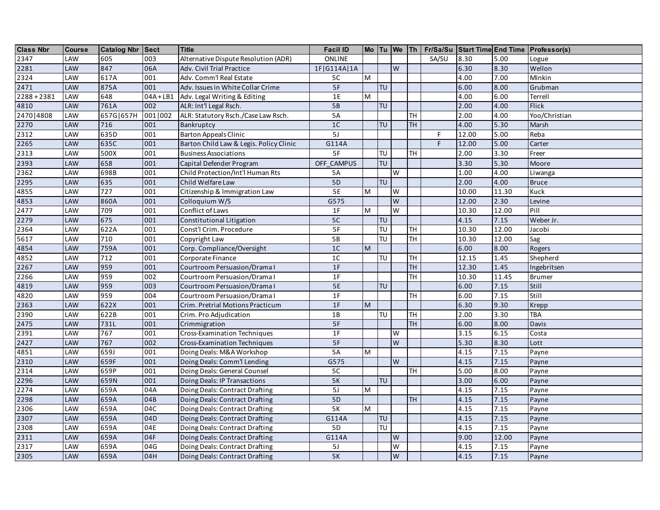| <b>Class Nbr</b>  | <b>Course</b> | <b>Catalog Nbr Sect</b> |           | <b>Title</b>                            | <b>Facil ID</b> |                |                                   |                         |           |       |       |       | Mo   Tu   We   Th   Fr/Sa/Su   Start Time End Time   Professor(s) |
|-------------------|---------------|-------------------------|-----------|-----------------------------------------|-----------------|----------------|-----------------------------------|-------------------------|-----------|-------|-------|-------|-------------------------------------------------------------------|
| 2347              | LAW           | 605                     | 003       | Alternative Dispute Resolution (ADR)    | ONLINE          |                |                                   |                         |           | SA/SU | 8.30  | 5.00  | Logue                                                             |
| 2281              | LAW           | 847                     | 06A       | Adv. Civil Trial Practice               | 1F G114A 1A     |                |                                   | W                       |           |       | 6.30  | 8.30  | Wellon                                                            |
| 2324              | LAW           | 617A                    | 001       | Adv. Comm'l Real Estate                 | 5C              | M              |                                   |                         |           |       | 4.00  | 7.00  | Minkin                                                            |
| 2471              | LAW           | 875A                    | 001       | Adv. Issues in White Collar Crime       | 5F              |                | <b>TU</b>                         |                         |           |       | 6.00  | 8.00  | Grubman                                                           |
| $2288 + 2381$     | LAW           | 648                     | $04A+LB1$ | Adv. Legal Writing & Editing            | 1E              | M              |                                   |                         |           |       | 4.00  | 6.00  | Terrell                                                           |
| 4810              | LAW           | 761A                    | 002       | ALR: Int'l Legal Rsch.                  | 5B              |                | <b>TU</b>                         |                         |           |       | 2.00  | 4.00  | <b>Flick</b>                                                      |
| 2470   4808       | LAW           | 657G 657H               | 001 002   | ALR: Statutory Rsch./Case Law Rsch.     | 5A              |                |                                   |                         | TH        |       | 2.00  | 4.00  | Yoo/Christian                                                     |
| 2270              | LAW           | 716                     | 001       | Bankruptcy                              | 1 <sup>C</sup>  |                | $\overline{\mathsf{T}}\mathsf{U}$ |                         | <b>TH</b> |       | 4.00  | 5.30  | Marsh                                                             |
| 2312              | LAW           | 635D                    | 001       | <b>Barton Appeals Clinic</b>            | 5J              |                |                                   |                         |           | F     | 12.00 | 5.00  | Reba                                                              |
| 2265              | LAW           | 635C                    | 001       | Barton Child Law & Legis. Policy Clinic | G114A           |                |                                   |                         |           | F.    | 12.00 | 5.00  | Carter                                                            |
| 2313              | LAW           | 500X                    | 001       | <b>Business Associations</b>            | 5F              |                | <b>TU</b>                         |                         | <b>TH</b> |       | 2.00  | 3.30  | Freer                                                             |
| 2393              | LAW           | 658                     | 001       | Capital Defender Program                | OFF CAMPUS      |                | <b>TU</b>                         |                         |           |       | 3.30  | 5.30  | Moore                                                             |
| 2362              | LAW           | 698B                    | 001       | Child Protection/Int'l Human Rts        | <b>5A</b>       |                |                                   | W                       |           |       | 1.00  | 4.00  | Liwanga                                                           |
| 2295              | LAW           | 635                     | 001       | Child Welfare Law                       | 5 <sub>D</sub>  |                | TU                                |                         |           |       | 2.00  | 4.00  | <b>Bruce</b>                                                      |
| 4855              | LAW           | 727                     | 001       | Citizenship & Immigration Law           | 5E              | M              |                                   | W                       |           |       | 10.00 | 11.30 | Kuck                                                              |
| 4853              | LAW           | 860A                    | 001       | Colloquium W/S                          | G575            |                |                                   | W                       |           |       | 12.00 | 2.30  | Levine                                                            |
| 2477              | LAW           | 709                     | 001       | Conflict of Laws                        | 1F              | M              |                                   | $\overline{\mathsf{w}}$ |           |       | 10.30 | 12.00 | Pill                                                              |
| 2279              | LAW           | 675                     | 001       | Constitutional Litigation               | 5C              |                | TU                                |                         |           |       | 4.15  | 7.15  | Weber Jr.                                                         |
| 2364              | LAW           | 622A                    | 001       | Const'l Crim. Procedure                 | 5F              |                | TU                                |                         | TH        |       | 10.30 | 12.00 | Jacobi                                                            |
| 5617              | LAW           | 710                     | 001       | Copyright Law                           | 5B              |                | TU                                |                         | TH        |       | 10.30 | 12.00 | Sag                                                               |
| 4854              | LAW           | 759A                    | 001       | Corp. Compliance/Oversight              | 1 <sup>C</sup>  | M              |                                   |                         |           |       | 6.00  | 8.00  | Rogers                                                            |
| 4852              | LAW           | 712                     | 001       | Corporate Finance                       | 1 <sup>C</sup>  |                | TU                                |                         | TH        |       | 12.15 | 1.45  | Shepherd                                                          |
| 2267              | LAW           | 959                     | 001       | Courtroom Persuasion/Drama I            | 1F              |                |                                   |                         | <b>TH</b> |       | 12.30 | 1.45  | Ingebritsen                                                       |
| 2266              | LAW           | 959                     | 002       | Courtroom Persuasion/Drama I            | 1F              |                |                                   |                         | TH        |       | 10.30 | 11.45 | <b>Brumer</b>                                                     |
| 4819              | LAW           | 959                     | 003       | Courtroom Persuasion/Drama I            | 5E              |                | <b>TU</b>                         |                         |           |       | 6.00  | 7.15  | Still                                                             |
| 4820              | LAW           | 959                     | 004       | Courtroom Persuasion/Drama I            | 1F              |                |                                   |                         | TH        |       | 6.00  | 7.15  | Still                                                             |
| 2363              | LAW           | 622X                    | 001       | Crim. Pretrial Motions Practicum        | 1F              | ${\sf M}$      |                                   |                         |           |       | 6.30  | 9.30  | Krepp                                                             |
| 2390              | LAW           | 622B                    | 001       | Crim. Pro Adjudication                  | 1B              |                | TU                                |                         | TH        |       | 2.00  | 3.30  | <b>TBA</b>                                                        |
| 2475              | LAW           | 731L                    | 001       | Crimmigration                           | 5F              |                |                                   |                         | <b>TH</b> |       | 6.00  | 8.00  | Davis                                                             |
| 2391              | LAW           | 767                     | 001       | <b>Cross-Examination Techniques</b>     | 1F              |                |                                   | W                       |           |       | 3.15  | 6.15  | Costa                                                             |
| 2427              | LAW           | 767                     | 002       | Cross-Examination Techniques            | 5F              |                |                                   | $\overline{\mathsf{W}}$ |           |       | 5.30  | 8.30  | Lott                                                              |
| 4851              | LAW           | 659J                    | 001       | Doing Deals: M&A Workshop               | 5A              | ${\sf M}$      |                                   |                         |           |       | 4.15  | 7.15  | Payne                                                             |
| 2310              | LAW           | 659F                    | 001       | Doing Deals: Comm'l Lending             | G575            |                |                                   | W                       |           |       | 4.15  | 7.15  | Payne                                                             |
| 2314              | LAW           | 659P                    | 001       | Doing Deals: General Counsel            | 5C              |                |                                   |                         | TH        |       | 5.00  | 8.00  | Payne                                                             |
| 2296              | LAW           | 659N                    | 001       | Doing Deals: IP Transactions            | 5K              |                | TU                                |                         |           |       | 3.00  | 6.00  | Payne                                                             |
| 2274              | LAW           | 659A                    | 04A       | Doing Deals: Contract Drafting          | 5J              | $\overline{M}$ |                                   |                         |           |       | 4.15  | 7.15  | Payne                                                             |
| 2298              | LAW           | 659A                    | 04B       | Doing Deals: Contract Drafting          | 5 <sub>D</sub>  |                |                                   |                         | <b>TH</b> |       | 4.15  | 7.15  | Payne                                                             |
| $\overline{2306}$ | LAW           | 659A                    | 04C       | Doing Deals: Contract Drafting          | 5K              | M              |                                   |                         |           |       | 4.15  | 7.15  | Payne                                                             |
| 2307              | LAW           | 659A                    | 04D       | Doing Deals: Contract Drafting          | G114A           |                | TU                                |                         |           |       | 4.15  | 7.15  | Payne                                                             |
| 2308              | LAW           | 659A                    | 04E       | Doing Deals: Contract Drafting          | 5D              |                | TU                                |                         |           |       | 4.15  | 7.15  | Payne                                                             |
| 2311              | LAW           | 659A                    | 04F       | Doing Deals: Contract Drafting          | G114A           |                |                                   | W                       |           |       | 9.00  | 12.00 | Payne                                                             |
| 2317              | LAW           | 659A                    | 04G       | Doing Deals: Contract Drafting          | 5J              |                |                                   | W                       |           |       | 4.15  | 7.15  | Payne                                                             |
| 2305              | LAW           | 659A                    | 04H       | Doing Deals: Contract Drafting          | 5K              |                |                                   | W                       |           |       | 4.15  | 7.15  | Payne                                                             |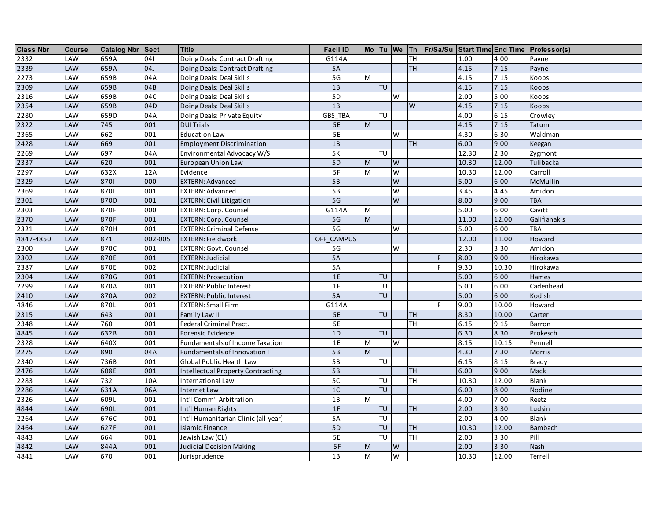| <b>Class Nbr</b> | <b>Course</b> | Catalog Nbr Sect |         | <b>Title</b>                         | <b>Facil ID</b> |                                                                                                            |                                   |                         |                         |    |       |       | Mo Tu We Th   Fr/Sa/Su Start Time End Time Professor(s) |
|------------------|---------------|------------------|---------|--------------------------------------|-----------------|------------------------------------------------------------------------------------------------------------|-----------------------------------|-------------------------|-------------------------|----|-------|-------|---------------------------------------------------------|
| 2332             | LAW           | 659A             | 041     | Doing Deals: Contract Drafting       | G114A           |                                                                                                            |                                   |                         | <b>TH</b>               |    | 1.00  | 4.00  | Payne                                                   |
| 2339             | LAW           | 659A             | 04J     | Doing Deals: Contract Drafting       | 5A              |                                                                                                            |                                   |                         | <b>TH</b>               |    | 4.15  | 7.15  | Payne                                                   |
| 2273             | LAW           | 659B             | 04A     | Doing Deals: Deal Skills             | 5G              | M                                                                                                          |                                   |                         |                         |    | 4.15  | 7.15  | Koops                                                   |
| 2309             | LAW           | 659B             | 04B     | Doing Deals: Deal Skills             | 1B              |                                                                                                            | <b>TU</b>                         |                         |                         |    | 4.15  | 7.15  | Koops                                                   |
| 2316             | LAW           | 659B             | 04C     | Doing Deals: Deal Skills             | 5D              |                                                                                                            |                                   | W                       |                         |    | 2.00  | 5.00  | Koops                                                   |
| 2354             | LAW           | 659B             | 04D     | Doing Deals: Deal Skills             | 1B              |                                                                                                            |                                   |                         | $\overline{\mathsf{W}}$ |    | 4.15  | 7.15  | Koops                                                   |
| 2280             | LAW           | 659D             | 04A     | Doing Deals: Private Equity          | GBS_TBA         |                                                                                                            | TU                                |                         |                         |    | 4.00  | 6.15  | Crowley                                                 |
| 2322             | LAW           | 745              | 001     | <b>DUI Trials</b>                    | 5E              | $\overline{M}$                                                                                             |                                   |                         |                         |    | 4.15  | 7.15  | Tatum                                                   |
| 2365             | LAW           | 662              | 001     | <b>Education Law</b>                 | 5E              |                                                                                                            |                                   | W                       |                         |    | 4.30  | 6.30  | Waldman                                                 |
| 2428             | LAW           | 669              | 001     | <b>Employment Discrimination</b>     | 1B              |                                                                                                            |                                   |                         | TH                      |    | 6.00  | 9.00  | Keegan                                                  |
| 2269             | LAW           | 697              | 04A     | Environmental Advocacy W/S           | $5K$            |                                                                                                            | $\overline{\mathsf{T}}\mathsf{U}$ |                         |                         |    | 12.30 | 2.30  | Zygmont                                                 |
| 2337             | LAW           | 620              | 001     | European Union Law                   | 5 <sub>D</sub>  | $\overline{M}$                                                                                             |                                   | W                       |                         |    | 10.30 | 12.00 | Tulibacka                                               |
| 2297             | LAW           | 632X             | 12A     | Evidence                             | 5F              | $\overline{\mathsf{M}}$                                                                                    |                                   | $\overline{\mathsf{W}}$ |                         |    | 10.30 | 12.00 | Carroll                                                 |
| 2329             | LAW           | 8701             | 000     | <b>EXTERN: Advanced</b>              | 5B              |                                                                                                            |                                   | W                       |                         |    | 5.00  | 6.00  | McMullin                                                |
| 2369             | LAW           | 8701             | 001     | <b>EXTERN: Advanced</b>              | 5B              |                                                                                                            |                                   | W                       |                         |    | 3.45  | 4.45  | Amidon                                                  |
| 2301             | LAW           | 870D             | 001     | <b>EXTERN: Civil Litigation</b>      | 5G              |                                                                                                            |                                   | W                       |                         |    | 8.00  | 9.00  | <b>TBA</b>                                              |
| 2303             | LAW           | 870F             | 000     | <b>EXTERN: Corp. Counsel</b>         | G114A           | M                                                                                                          |                                   |                         |                         |    | 5.00  | 6.00  | Cavitt                                                  |
| 2370             | LAW           | 870F             | 001     | <b>EXTERN: Corp. Counsel</b>         | 5G              | M                                                                                                          |                                   |                         |                         |    | 11.00 | 12.00 | Galifianakis                                            |
| 2321             | LAW           | 870H             | 001     | <b>EXTERN: Criminal Defense</b>      | 5 <sub>G</sub>  |                                                                                                            |                                   | W                       |                         |    | 5.00  | 6.00  | TBA                                                     |
| 4847-4850        | LAW           | 871              | 002-005 | <b>EXTERN: Fieldwork</b>             | OFF CAMPUS      |                                                                                                            |                                   |                         |                         |    | 12.00 | 11.00 | Howard                                                  |
| 2300             | LAW           | 870C             | 001     | <b>EXTERN: Govt. Counsel</b>         | 5G              |                                                                                                            |                                   | W                       |                         |    | 2.30  | 3.30  | Amidon                                                  |
| 2302             | LAW           | 870E             | 001     | <b>EXTERN: Judicial</b>              | <b>5A</b>       |                                                                                                            |                                   |                         |                         | F  | 8.00  | 9.00  | Hirokawa                                                |
| 2387             | LAW           | 870E             | 002     | <b>EXTERN: Judicial</b>              | 5A              |                                                                                                            |                                   |                         |                         | F  | 9.30  | 10.30 | Hirokawa                                                |
| 2304             | LAW           | 870G             | 001     | <b>EXTERN: Prosecution</b>           | 1E              |                                                                                                            | TU                                |                         |                         |    | 5.00  | 6.00  | Hames                                                   |
| 2299             | LAW           | 870A             | 001     | <b>EXTERN: Public Interest</b>       | 1F              |                                                                                                            | $\overline{\mathsf{T}}\mathsf{U}$ |                         |                         |    | 5.00  | 6.00  | Cadenhead                                               |
| 2410             | LAW           | 870A             | 002     | <b>EXTERN: Public Interest</b>       | 5A              |                                                                                                            | TU                                |                         |                         |    | 5.00  | 6.00  | Kodish                                                  |
| 4846             | LAW           | 870L             | 001     | <b>EXTERN: Small Firm</b>            | G114A           |                                                                                                            |                                   |                         |                         | F. | 9.00  | 10.00 | Howard                                                  |
| 2315             | LAW           | 643              | 001     | Family Law II                        | 5E              |                                                                                                            | $\overline{\mathsf{T}}\mathsf{U}$ |                         | <b>TH</b>               |    | 8.30  | 10.00 | Carter                                                  |
| 2348             | LAW           | 760              | 001     | Federal Criminal Pract.              | 5E              |                                                                                                            |                                   |                         | <b>TH</b>               |    | 6.15  | 9.15  | Barron                                                  |
| 4845             | LAW           | 632B             | 001     | Forensic Evidence                    | 1D              |                                                                                                            | <b>TU</b>                         |                         |                         |    | 6.30  | 8.30  | Prokesch                                                |
| 2328             | LAW           | 640X             | 001     | Fundamentals of Income Taxation      | 1E              | M                                                                                                          |                                   | W                       |                         |    | 8.15  | 10.15 | Pennell                                                 |
| 2275             | LAW           | 890              | 04A     | Fundamentals of Innovation I         | 5B              | $\overline{M}$                                                                                             |                                   |                         |                         |    | 4.30  | 7.30  | <b>Morris</b>                                           |
| 2340             | LAW           | 736B             | 001     | Global Public Health Law             | 5B              |                                                                                                            | <b>TU</b>                         |                         |                         |    | 6.15  | 8.15  | <b>Brady</b>                                            |
| 2476             | LAW           | 608E             | 001     | Intellectual Property Contracting    | 5B              |                                                                                                            |                                   |                         | <b>TH</b>               |    | 6.00  | 9.00  | <b>Mack</b>                                             |
| 2283             | LAW           | 732              | 10A     | International Law                    | 5 <sub>C</sub>  |                                                                                                            | $\overline{\overline{U}}$         |                         | <b>TH</b>               |    | 10.30 | 12.00 | <b>Blank</b>                                            |
| 2286             | LAW           | 631A             | 06A     | Internet Law                         | 1C              |                                                                                                            | $\overline{U}$                    |                         |                         |    | 6.00  | 8.00  | Nodine                                                  |
| 2326             | LAW           | 609L             | 001     | Int'l Comm'l Arbitration             | 1B              | M                                                                                                          |                                   |                         |                         |    | 4.00  | 7.00  | Reetz                                                   |
| 4844             | LAW           | 690L             | 001     | Int'l Human Rights                   | 1F              |                                                                                                            | TU                                |                         | <b>TH</b>               |    | 2.00  | 3.30  | Ludsin                                                  |
| 2264             | LAW           | 676C             | 001     | Int'l Humanitarian Clinic (all-year) | 5A              |                                                                                                            | $\overline{\mathsf{T}}\mathsf{U}$ |                         |                         |    | 2.00  | 4.00  | Blank                                                   |
| 2464             | LAW           | 627F             | 001     | <b>Islamic Finance</b>               | 5 <sub>D</sub>  |                                                                                                            | $\overline{TU}$                   |                         | <b>TH</b>               |    | 10.30 | 12.00 | <b>Bambach</b>                                          |
| 4843             | LAW           | 664              | 001     | Jewish Law (CL)                      | 5E              |                                                                                                            | TU                                |                         | $\overline{TH}$         |    | 2.00  | 3.30  | Pill                                                    |
| 4842             | LAW           | 844A             | 001     | <b>Judicial Decision Making</b>      | 5F              | $\mathsf{M}% _{T}=\mathsf{M}_{T}\!\left( a,b\right) ,\ \mathsf{M}_{T}=\mathsf{M}_{T}\!\left( a,b\right) ,$ |                                   | W                       |                         |    | 2.00  | 3.30  | Nash                                                    |
| 4841             | LAW           | 670              | 001     | Jurisprudence                        | 1B              | M                                                                                                          |                                   | W                       |                         |    | 10.30 | 12.00 | Terrell                                                 |